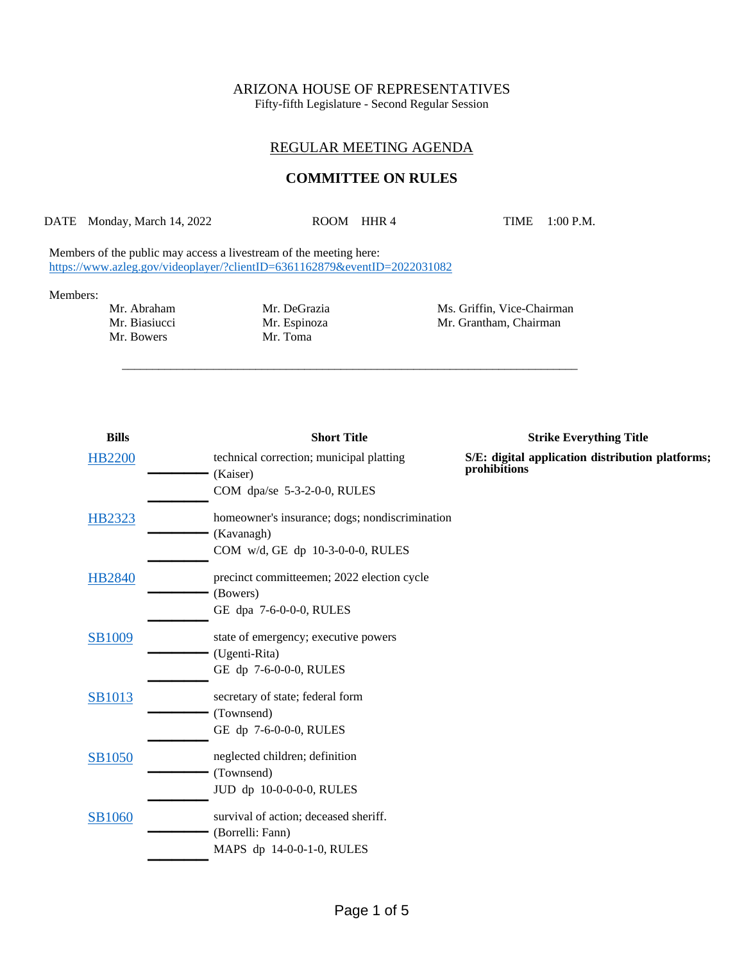# ARIZONA HOUSE OF REPRESENTATIVES

Fifty-fifth Legislature - Second Regular Session

## REGULAR MEETING AGENDA

## **COMMITTEE ON RULES**

DATE Monday, March 14, 2022 ROOM HHR 4 TIME 1:00 P.M.

\_\_\_\_\_\_\_\_\_\_\_\_\_\_\_\_\_\_\_\_\_\_\_\_\_\_\_\_\_\_\_\_\_\_\_\_\_\_\_\_\_\_\_\_\_\_\_\_\_\_\_\_\_\_\_\_\_\_\_\_\_\_\_\_\_\_\_\_\_\_\_\_\_\_\_

Members of the public may access a livestream of the meeting here: <https://www.azleg.gov/videoplayer/?clientID=6361162879&eventID=2022031082>

#### Members:

Mr. Bowers

Mr. Espinoza Mr. Grantham, Chairman Mr. Toma

Mr. Abraham Mr. DeGrazia Mr. Ms. Griffin, Vice-Chairman<br>Mr. Biasiucci Mr. Espinoza Mr. Grantham, Chairman

| <b>Bills</b>  | <b>Short Title</b>                                   | <b>Strike Everything Title</b>                                   |
|---------------|------------------------------------------------------|------------------------------------------------------------------|
| <b>HB2200</b> | technical correction; municipal platting<br>(Kaiser) | S/E: digital application distribution platforms;<br>prohibitions |
|               | COM dpa/se 5-3-2-0-0, RULES                          |                                                                  |
| <b>HB2323</b> | homeowner's insurance; dogs; nondiscrimination       |                                                                  |
|               | (Kavanagh)                                           |                                                                  |
|               | COM w/d, GE dp 10-3-0-0-0, RULES                     |                                                                  |
| <b>HB2840</b> | precinct committeemen; 2022 election cycle           |                                                                  |
|               | (Bowers)                                             |                                                                  |
|               | GE dpa 7-6-0-0-0, RULES                              |                                                                  |
| SB1009        | state of emergency; executive powers                 |                                                                  |
|               | (Ugenti-Rita)                                        |                                                                  |
|               | GE dp 7-6-0-0-0, RULES                               |                                                                  |
| <b>SB1013</b> | secretary of state; federal form                     |                                                                  |
|               | (Townsend)                                           |                                                                  |
|               | GE dp 7-6-0-0-0, RULES                               |                                                                  |
| <b>SB1050</b> | neglected children; definition                       |                                                                  |
|               | (Townsend)                                           |                                                                  |
|               | JUD dp 10-0-0-0-0, RULES                             |                                                                  |
| SB1060        | survival of action; deceased sheriff.                |                                                                  |
|               | (Borrelli: Fann)                                     |                                                                  |
|               | MAPS dp 14-0-0-1-0, RULES                            |                                                                  |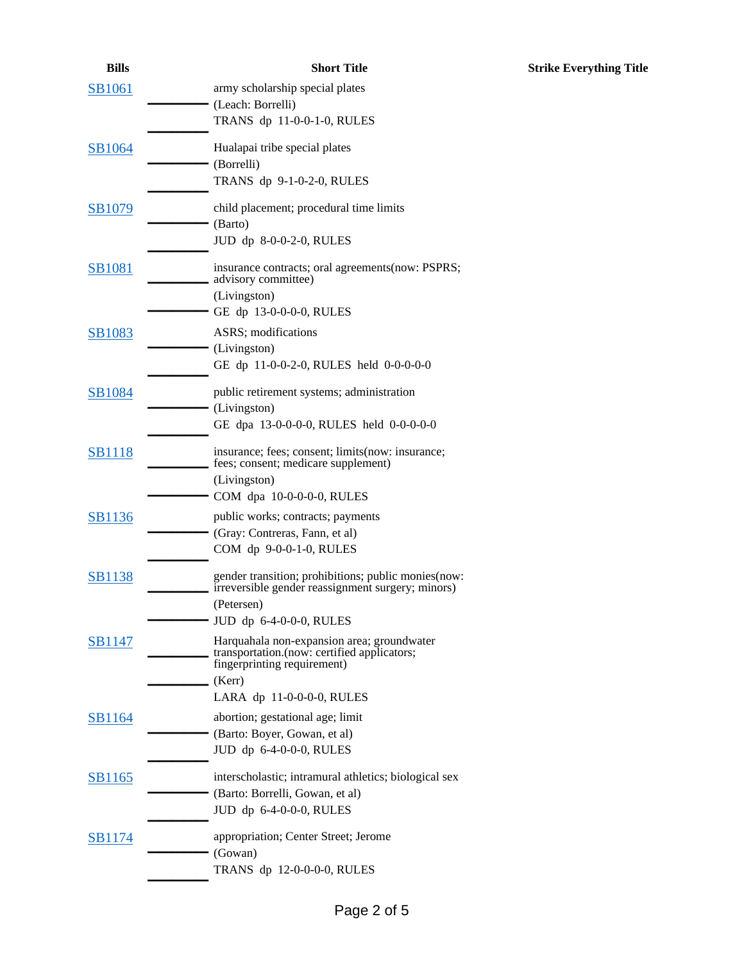| <b>Bills</b>  | <b>Short Title</b>                                                                                                       |
|---------------|--------------------------------------------------------------------------------------------------------------------------|
| <b>SB1061</b> | army scholarship special plates<br>(Leach: Borrelli)                                                                     |
|               | TRANS dp 11-0-0-1-0, RULES                                                                                               |
| <b>SB1064</b> | Hualapai tribe special plates<br>(Borrelli)                                                                              |
|               | TRANS dp 9-1-0-2-0, RULES                                                                                                |
| SB1079        | child placement; procedural time limits<br>(Barto)<br>JUD dp 8-0-0-2-0, RULES                                            |
| <b>SB1081</b> | insurance contracts; oral agreements (now: PSPRS;<br>advisory committee)                                                 |
|               | (Livingston)<br>GE dp 13-0-0-0-0, RULES                                                                                  |
| <b>SB1083</b> | <b>ASRS</b> ; modifications                                                                                              |
|               | (Livingston)<br>GE dp 11-0-0-2-0, RULES held 0-0-0-0-0                                                                   |
| <b>SB1084</b> | public retirement systems; administration<br>(Livingston)                                                                |
|               | GE dpa 13-0-0-0-0, RULES held 0-0-0-0-0                                                                                  |
| <b>SB1118</b> | insurance; fees; consent; limits(now: insurance;<br>fees; consent; medicare supplement)                                  |
|               | (Livingston)<br>COM dpa 10-0-0-0-0, RULES                                                                                |
| <b>SB1136</b> | public works; contracts; payments<br>(Gray: Contreras, Fann, et al)                                                      |
|               | COM dp 9-0-0-1-0, RULES                                                                                                  |
| <b>SB1138</b> | gender transition; prohibitions; public monies(now:<br>irreversible gender reassignment surgery; minors)                 |
|               | (Petersen)<br>JUD dp 6-4-0-0-0, RULES                                                                                    |
| <b>SB1147</b> | Harquahala non-expansion area; groundwater<br>transportation.(now: certified applicators;<br>fingerprinting requirement) |
|               | (Kerr)<br>LARA dp 11-0-0-0-0, RULES                                                                                      |
| SB1164        | abortion; gestational age; limit                                                                                         |
|               | (Barto: Boyer, Gowan, et al)                                                                                             |
|               | JUD dp 6-4-0-0-0, RULES                                                                                                  |
| <b>SB1165</b> | interscholastic; intramural athletics; biological sex                                                                    |
|               | (Barto: Borrelli, Gowan, et al)<br>JUD dp 6-4-0-0-0, RULES                                                               |
| SB1174        | appropriation; Center Street; Jerome                                                                                     |
|               | (Gowan)                                                                                                                  |
|               | TRANS dp 12-0-0-0-0, RULES                                                                                               |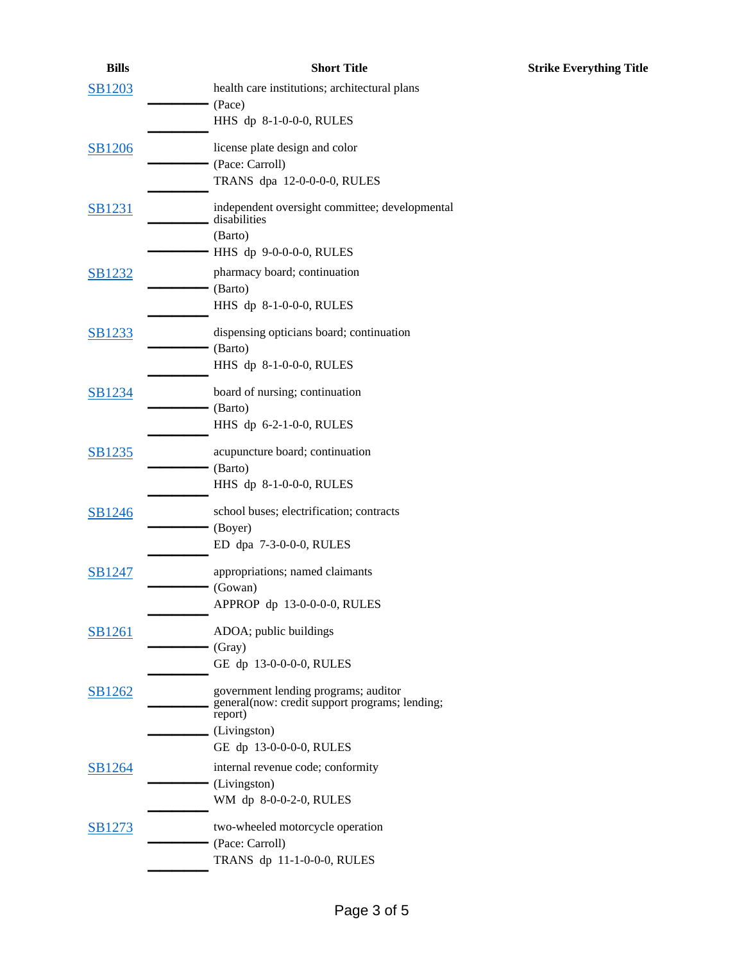| <b>Bills</b>  | <b>Short Title</b>                                        | <b>Strike Everything Title</b> |
|---------------|-----------------------------------------------------------|--------------------------------|
| SB1203        | health care institutions; architectural plans             |                                |
|               | (Pace)                                                    |                                |
|               | HHS dp 8-1-0-0-0, RULES                                   |                                |
| SB1206        | license plate design and color                            |                                |
|               | (Pace: Carroll)                                           |                                |
|               | TRANS dpa 12-0-0-0-0, RULES                               |                                |
| <b>SB1231</b> | independent oversight committee; developmental            |                                |
|               | disabilities                                              |                                |
|               | (Barto)<br>HHS dp 9-0-0-0-0, RULES                        |                                |
|               |                                                           |                                |
| <b>SB1232</b> | pharmacy board; continuation<br>(Barto)                   |                                |
|               | HHS dp 8-1-0-0-0, RULES                                   |                                |
|               |                                                           |                                |
| <b>SB1233</b> | dispensing opticians board; continuation                  |                                |
|               | (Barto)<br>HHS dp 8-1-0-0-0, RULES                        |                                |
|               |                                                           |                                |
| SB1234        | board of nursing; continuation                            |                                |
|               | (Barto)                                                   |                                |
|               | HHS dp 6-2-1-0-0, RULES                                   |                                |
| SB1235        | acupuncture board; continuation                           |                                |
|               | (Barto)                                                   |                                |
|               | HHS dp 8-1-0-0-0, RULES                                   |                                |
| SB1246        | school buses; electrification; contracts                  |                                |
|               | (Boyer)                                                   |                                |
|               | ED dpa 7-3-0-0-0, RULES                                   |                                |
| SB1247        | appropriations; named claimants                           |                                |
|               | (Gowan)                                                   |                                |
|               | APPROP dp 13-0-0-0-0, RULES                               |                                |
| <b>SB1261</b> | ADOA; public buildings                                    |                                |
|               | (Gray)                                                    |                                |
|               | GE dp 13-0-0-0-0, RULES                                   |                                |
| SB1262        | government lending programs; auditor                      |                                |
|               | general(now: credit support programs; lending;<br>report) |                                |
|               | (Livingston)                                              |                                |
|               | GE dp 13-0-0-0-0, RULES                                   |                                |
| SB1264        | internal revenue code; conformity                         |                                |
|               | (Livingston)                                              |                                |
|               | WM dp 8-0-0-2-0, RULES                                    |                                |
| <b>SB1273</b> | two-wheeled motorcycle operation                          |                                |
|               | (Pace: Carroll)                                           |                                |
|               | TRANS dp 11-1-0-0-0, RULES                                |                                |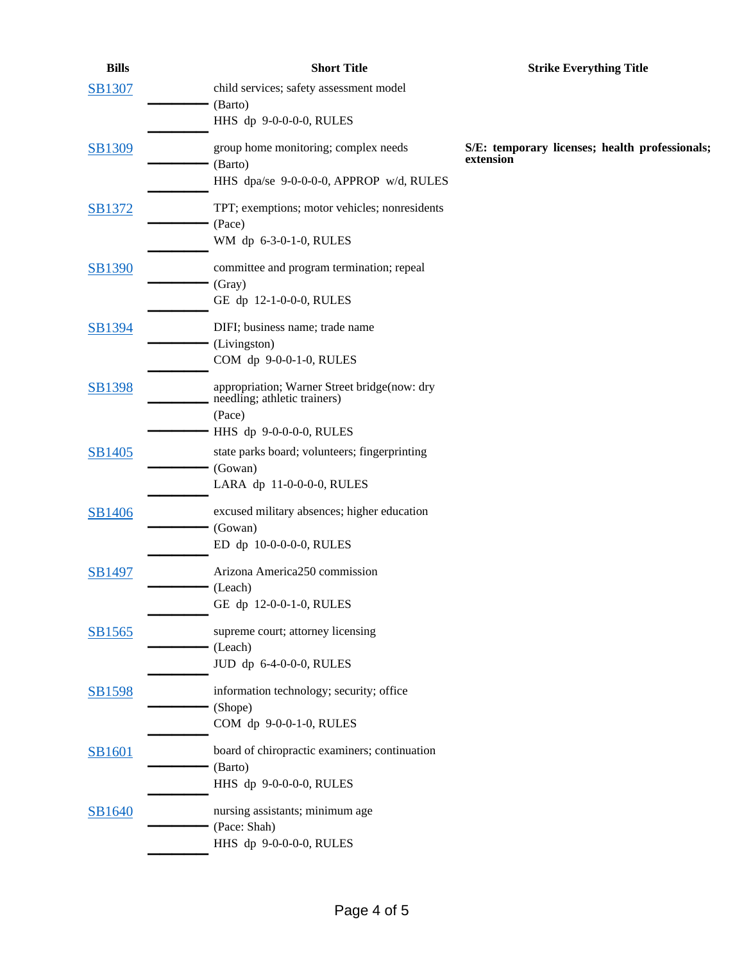| <b>Bills</b>  | <b>Short Title</b>                                       | <b>Strike Everything Title</b>                              |
|---------------|----------------------------------------------------------|-------------------------------------------------------------|
| <b>SB1307</b> | child services; safety assessment model<br>(Barto)       |                                                             |
|               | HHS dp 9-0-0-0-0, RULES                                  |                                                             |
| SB1309        | group home monitoring; complex needs<br>(Barto)          | S/E: temporary licenses; health professionals;<br>extension |
|               | HHS dpa/se 9-0-0-0-0, APPROP w/d, RULES                  |                                                             |
| SB1372        | TPT; exemptions; motor vehicles; nonresidents<br>(Pace)  |                                                             |
|               | WM dp 6-3-0-1-0, RULES                                   |                                                             |
| <b>SB1390</b> | committee and program termination; repeal<br>(Gray)      |                                                             |
|               | GE dp 12-1-0-0-0, RULES                                  |                                                             |
| SB1394        | DIFI; business name; trade name                          |                                                             |
|               | (Livingston)                                             |                                                             |
|               | COM dp 9-0-0-1-0, RULES                                  |                                                             |
| <b>SB1398</b> | appropriation; Warner Street bridge(now: dry             |                                                             |
|               | needling; athletic trainers)                             |                                                             |
|               | (Pace)                                                   |                                                             |
|               | HHS dp 9-0-0-0-0, RULES                                  |                                                             |
| SB1405        | state parks board; volunteers; fingerprinting<br>(Gowan) |                                                             |
|               | LARA dp 11-0-0-0-0, RULES                                |                                                             |
|               |                                                          |                                                             |
| SB1406        | excused military absences; higher education<br>(Gowan)   |                                                             |
|               | ED dp 10-0-0-0-0, RULES                                  |                                                             |
|               |                                                          |                                                             |
| SB1497        | Arizona America250 commission                            |                                                             |
|               | (Leach)<br>GE dp 12-0-0-1-0, RULES                       |                                                             |
|               |                                                          |                                                             |
| SB1565        | supreme court; attorney licensing                        |                                                             |
|               | (Leach)                                                  |                                                             |
|               | JUD dp 6-4-0-0-0, RULES                                  |                                                             |
| <b>SB1598</b> | information technology; security; office                 |                                                             |
|               | (Shope)                                                  |                                                             |
|               | COM dp 9-0-0-1-0, RULES                                  |                                                             |
| <b>SB1601</b> | board of chiropractic examiners; continuation            |                                                             |
|               | (Barto)                                                  |                                                             |
|               | HHS dp 9-0-0-0-0, RULES                                  |                                                             |
| SB1640        | nursing assistants; minimum age                          |                                                             |
|               | (Pace: Shah)                                             |                                                             |
|               | HHS dp 9-0-0-0-0, RULES                                  |                                                             |